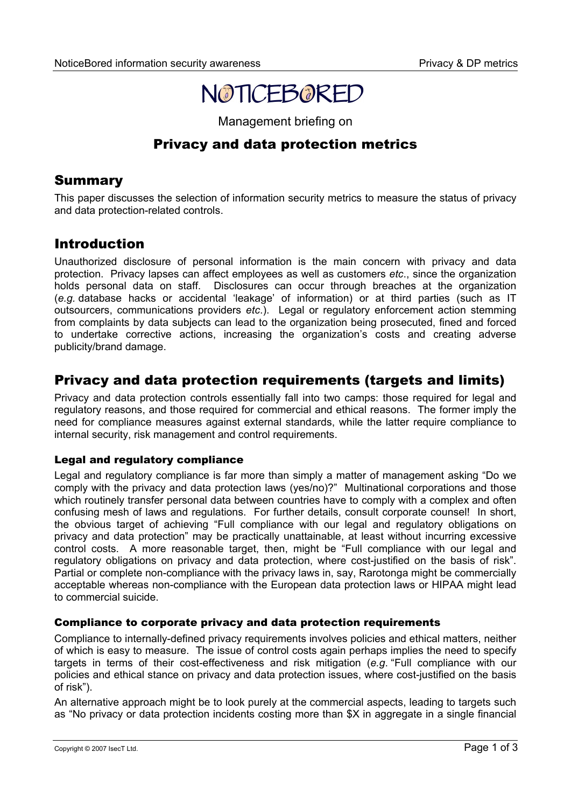

Management briefing on

# Privacy and data protection metrics

## Summary

This paper discusses the selection of information security metrics to measure the status of privacy and data protection-related controls.

## Introduction

Unauthorized disclosure of personal information is the main concern with privacy and data protection. Privacy lapses can affect employees as well as customers *etc*., since the organization holds personal data on staff. Disclosures can occur through breaches at the organization (*e.g.* database hacks or accidental 'leakage' of information) or at third parties (such as IT outsourcers, communications providers *etc*.). Legal or regulatory enforcement action stemming from complaints by data subjects can lead to the organization being prosecuted, fined and forced to undertake corrective actions, increasing the organization's costs and creating adverse publicity/brand damage.

# Privacy and data protection requirements (targets and limits)

Privacy and data protection controls essentially fall into two camps: those required for legal and regulatory reasons, and those required for commercial and ethical reasons. The former imply the need for compliance measures against external standards, while the latter require compliance to internal security, risk management and control requirements.

#### Legal and regulatory compliance

Legal and regulatory compliance is far more than simply a matter of management asking "Do we comply with the privacy and data protection laws (yes/no)?" Multinational corporations and those which routinely transfer personal data between countries have to comply with a complex and often confusing mesh of laws and regulations. For further details, consult corporate counsel! In short, the obvious target of achieving "Full compliance with our legal and regulatory obligations on privacy and data protection" may be practically unattainable, at least without incurring excessive control costs. A more reasonable target, then, might be "Full compliance with our legal and regulatory obligations on privacy and data protection, where cost-justified on the basis of risk". Partial or complete non-compliance with the privacy laws in, say, Rarotonga might be commercially acceptable whereas non-compliance with the European data protection laws or HIPAA might lead to commercial suicide.

### Compliance to corporate privacy and data protection requirements

Compliance to internally-defined privacy requirements involves policies and ethical matters, neither of which is easy to measure. The issue of control costs again perhaps implies the need to specify targets in terms of their cost-effectiveness and risk mitigation (*e.g*. "Full compliance with our policies and ethical stance on privacy and data protection issues, where cost-justified on the basis of risk").

An alternative approach might be to look purely at the commercial aspects, leading to targets such as "No privacy or data protection incidents costing more than \$X in aggregate in a single financial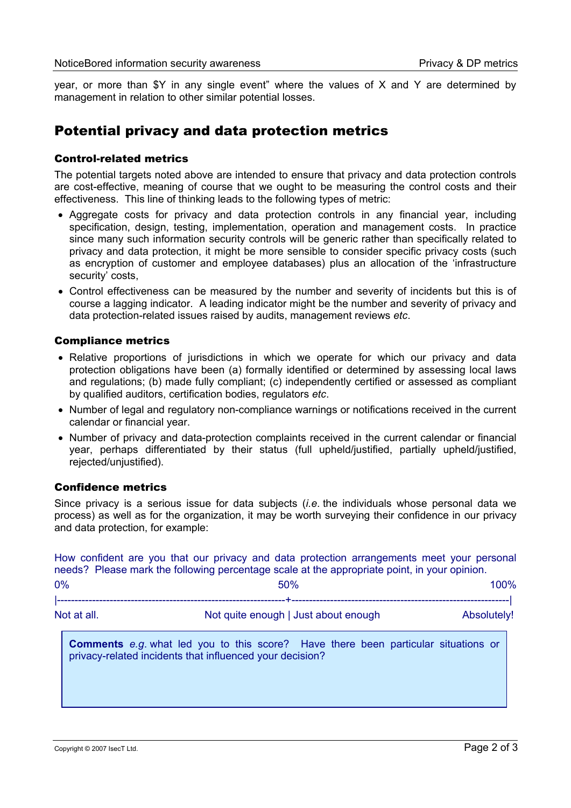year, or more than \$Y in any single event" where the values of X and Y are determined by management in relation to other similar potential losses.

### Potential privacy and data protection metrics

#### Control-related metrics

The potential targets noted above are intended to ensure that privacy and data protection controls are cost-effective, meaning of course that we ought to be measuring the control costs and their effectiveness. This line of thinking leads to the following types of metric:

- Aggregate costs for privacy and data protection controls in any financial year, including specification, design, testing, implementation, operation and management costs. In practice since many such information security controls will be generic rather than specifically related to privacy and data protection, it might be more sensible to consider specific privacy costs (such as encryption of customer and employee databases) plus an allocation of the 'infrastructure security' costs,
- Control effectiveness can be measured by the number and severity of incidents but this is of course a lagging indicator. A leading indicator might be the number and severity of privacy and data protection-related issues raised by audits, management reviews *etc*.

#### Compliance metrics

- Relative proportions of jurisdictions in which we operate for which our privacy and data protection obligations have been (a) formally identified or determined by assessing local laws and regulations; (b) made fully compliant; (c) independently certified or assessed as compliant by qualified auditors, certification bodies, regulators *etc*.
- Number of legal and regulatory non-compliance warnings or notifications received in the current calendar or financial year.
- Number of privacy and data-protection complaints received in the current calendar or financial year, perhaps differentiated by their status (full upheld/justified, partially upheld/justified, rejected/unjustified).

#### Confidence metrics

Since privacy is a serious issue for data subjects (*i.e*. the individuals whose personal data we process) as well as for the organization, it may be worth surveying their confidence in our privacy and data protection, for example:

How confident are you that our privacy and data protection arrangements meet your personal needs? Please mark the following percentage scale at the appropriate point, in your opinion.

| 0%          | 50%                                  | 100%        |
|-------------|--------------------------------------|-------------|
|             |                                      |             |
| Not at all. | Not quite enough   Just about enough | Absolutely! |

**Comments** *e.g*. what led you to this score? Have there been particular situations or privacy-related incidents that influenced your decision?